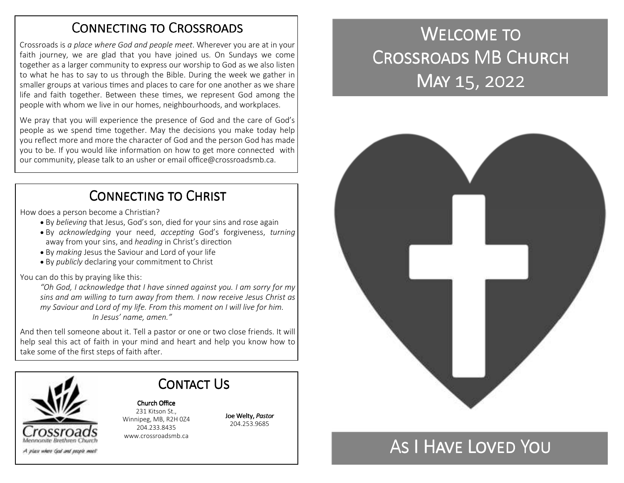### CONNECTING TO CROSSROADS

Crossroads is *a place where God and people meet*. Wherever you are at in your faith journey, we are glad that you have joined us. On Sundays we come together as a larger community to express our worship to God as we also listen to what he has to say to us through the Bible. During the week we gather in smaller groups at various times and places to care for one another as we share life and faith together. Between these times, we represent God among the people with whom we live in our homes, neighbourhoods, and workplaces.

We pray that you will experience the presence of God and the care of God's people as we spend time together. May the decisions you make today help you reflect more and more the character of God and the person God has made you to be. If you would like information on how to get more connected with our community, please talk to an usher or email office@crossroadsmb.ca.

## CONNECTING TO CHRIST

How does a person become a Christian?

- By *believing* that Jesus, God's son, died for your sins and rose again
- By *acknowledging* your need, *accepting* God's forgiveness, *turning* away from your sins, and *heading* in Christ's direction
- By *making* Jesus the Saviour and Lord of your life
- By *publicly* declaring your commitment to Christ

You can do this by praying like this:

*"Oh God, I acknowledge that I have sinned against you. I am sorry for my sins and am willing to turn away from them. I now receive Jesus Christ as my Saviour and Lord of my life. From this moment on I will live for him. In Jesus' name, amen."* 

And then tell someone about it. Tell a pastor or one or two close friends. It will help seal this act of faith in your mind and heart and help you know how to take some of the first steps of faith after.

> 204.233.8435 www.crossroadsmb.ca



Church Office 231 Kitson St., Winnipeg, MB, R2H 0Z4

Contact Us

Joe Welty, *Pastor*204.253.9685

# WELCOME TO CROSSROADS MB CHURCH MAY 15, 2022



## As I Have Loved You .

A play where God and people meet